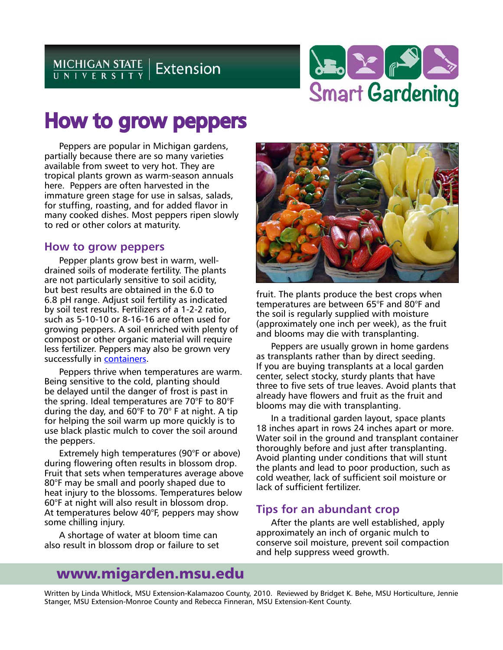

# How to grow peppers

Peppers are popular in Michigan gardens, partially because there are so many varieties available from sweet to very hot. They are tropical plants grown as warm-season annuals here. Peppers are often harvested in the immature green stage for use in salsas, salads, for stuffing, roasting, and for added flavor in many cooked dishes. Most peppers ripen slowly to red or other colors at maturity.

#### **How to grow peppers**

Pepper plants grow best in warm, welldrained soils of moderate fertility. The plants are not particularly sensitive to soil acidity, but best results are obtained in the 6.0 to 6.8 pH range. Adjust soil fertility as indicated by soil test results. Fertilizers of a 1-2-2 ratio, such as 5-10-10 or 8-16-16 are often used for growing peppers. A soil enriched with plenty of compost or other organic material will require less fertilizer. Peppers may also be grown very successfully in [containers](http://migarden.msu.edu/uploads/files/containerGarden-VeggiesHerbs.pdf).

Peppers thrive when temperatures are warm. Being sensitive to the cold, planting should be delayed until the danger of frost is past in the spring. Ideal temperatures are 70°F to 80°F during the day, and 60°F to 70° F at night. A tip for helping the soil warm up more quickly is to use black plastic mulch to cover the soil around the peppers.

Extremely high temperatures (90°F or above) during flowering often results in blossom drop. Fruit that sets when temperatures average above 80°F may be small and poorly shaped due to heat injury to the blossoms. Temperatures below 60°F at night will also result in blossom drop. At temperatures below 40°F, peppers may show some chilling injury.

A shortage of water at bloom time can also result in blossom drop or failure to set



fruit. The plants produce the best crops when temperatures are between 65°F and 80°F and the soil is regularly supplied with moisture (approximately one inch per week), as the fruit and blooms may die with transplanting.

Peppers are usually grown in home gardens as transplants rather than by direct seeding. If you are buying transplants at a local garden center, select stocky, sturdy plants that have three to five sets of true leaves. Avoid plants that already have flowers and fruit as the fruit and blooms may die with transplanting.

In a traditional garden layout, space plants 18 inches apart in rows 24 inches apart or more. Water soil in the ground and transplant container thoroughly before and just after transplanting. Avoid planting under conditions that will stunt the plants and lead to poor production, such as cold weather, lack of sufficient soil moisture or lack of sufficient fertilizer.

## **Tips for an abundant crop**

After the plants are well established, apply approximately an inch of organic mulch to conserve soil moisture, prevent soil compaction and help suppress weed growth.

## www.migarden.msu.edu

Written by Linda Whitlock, MSU Extension-Kalamazoo County, 2010. Reviewed by Bridget K. Behe, MSU Horticulture, Jennie Stanger, MSU Extension-Monroe County and Rebecca Finneran, MSU Extension-Kent County.